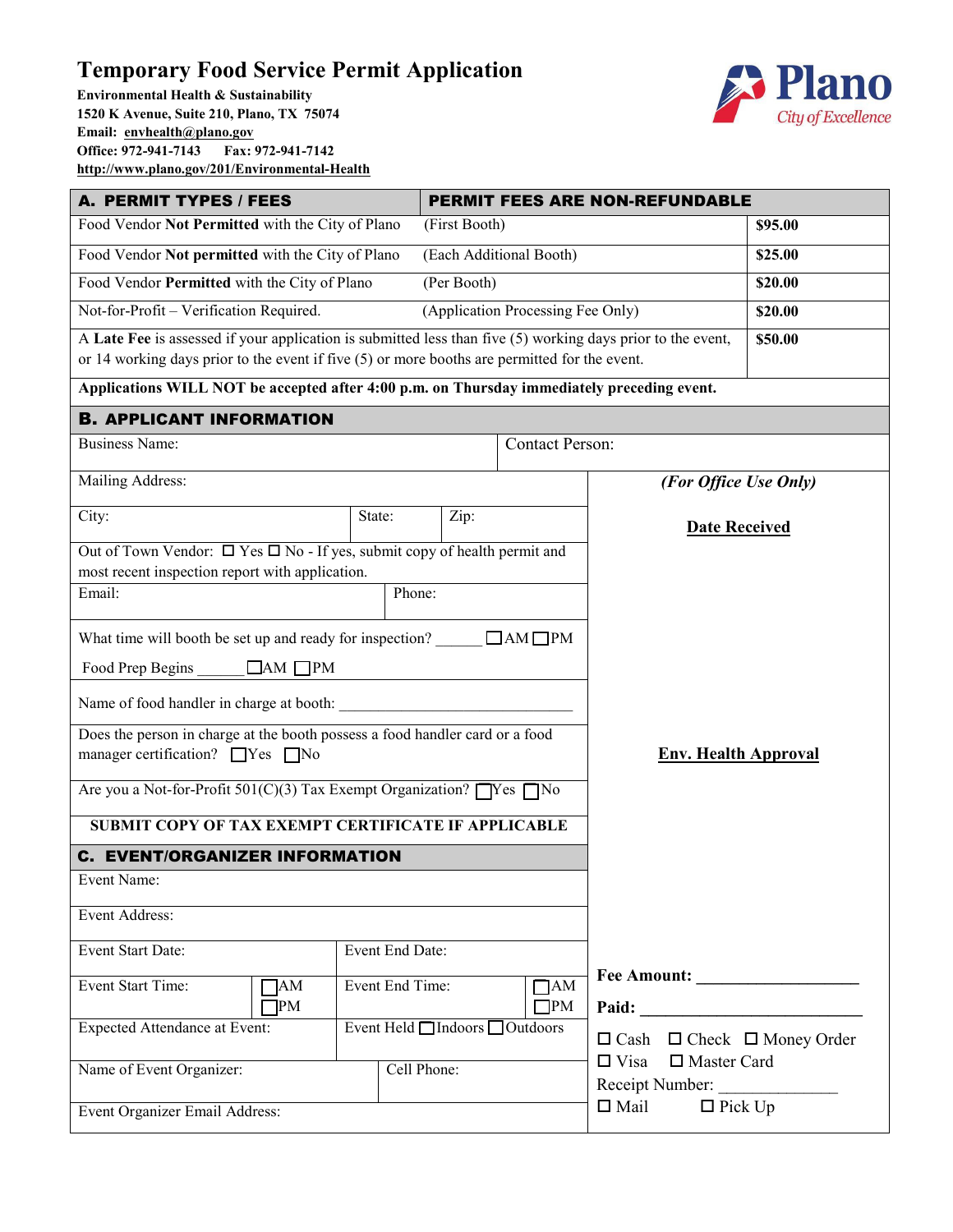## **Temporary Food Service Permit Application**

**Environmental Health & Sustainability 1520 K Avenue, Suite 210, Plano, TX 75074 Email: <u>[envhealth@plano.gov](mailto:envhealth@plano.gov)</u>**<br> **Office:** 972-941-7143 Fax: 972-941-7142 **Office: 972-941-7143 Fax: 972-941-7142 <http://www.plano.gov/201/Environmental-Health>**



| A. PERMIT TYPES / FEES                                                                                                                                                                                         | <b>PERMIT FEES ARE NON-REFUNDABLE</b> |             |                                   |                                                   |         |  |
|----------------------------------------------------------------------------------------------------------------------------------------------------------------------------------------------------------------|---------------------------------------|-------------|-----------------------------------|---------------------------------------------------|---------|--|
| Food Vendor Not Permitted with the City of Plano                                                                                                                                                               | (First Booth)                         |             |                                   | \$95.00                                           |         |  |
| Food Vendor Not permitted with the City of Plano<br>(Each Additional Booth)                                                                                                                                    |                                       |             |                                   |                                                   | \$25.00 |  |
| Food Vendor Permitted with the City of Plano<br>(Per Booth)                                                                                                                                                    |                                       |             |                                   |                                                   | \$20.00 |  |
| Not-for-Profit - Verification Required.                                                                                                                                                                        |                                       |             | (Application Processing Fee Only) |                                                   | \$20.00 |  |
| A Late Fee is assessed if your application is submitted less than five $(5)$ working days prior to the event,<br>or 14 working days prior to the event if five (5) or more booths are permitted for the event. |                                       |             |                                   |                                                   | \$50.00 |  |
| Applications WILL NOT be accepted after 4:00 p.m. on Thursday immediately preceding event.                                                                                                                     |                                       |             |                                   |                                                   |         |  |
| <b>B. APPLICANT INFORMATION</b>                                                                                                                                                                                |                                       |             |                                   |                                                   |         |  |
| <b>Business Name:</b>                                                                                                                                                                                          |                                       |             | <b>Contact Person:</b>            |                                                   |         |  |
| Mailing Address:                                                                                                                                                                                               |                                       |             |                                   | (For Office Use Only)                             |         |  |
| City:                                                                                                                                                                                                          | State:                                | Zip:        |                                   |                                                   |         |  |
|                                                                                                                                                                                                                |                                       |             |                                   | <b>Date Received</b>                              |         |  |
| Out of Town Vendor: $\Box$ Yes $\Box$ No - If yes, submit copy of health permit and                                                                                                                            |                                       |             |                                   |                                                   |         |  |
| most recent inspection report with application.<br>Email:                                                                                                                                                      | Phone:                                |             |                                   |                                                   |         |  |
|                                                                                                                                                                                                                |                                       |             |                                   |                                                   |         |  |
| What time will booth be set up and ready for inspection? $\Box$ AM $\Box$ PM                                                                                                                                   |                                       |             |                                   |                                                   |         |  |
| Food Prep Begins<br>$\Box$ AM $\Box$ PM                                                                                                                                                                        |                                       |             |                                   |                                                   |         |  |
| Name of food handler in charge at booth:                                                                                                                                                                       |                                       |             |                                   |                                                   |         |  |
| Does the person in charge at the booth possess a food handler card or a food<br>manager certification? $\Box$ Yes $\Box$ No                                                                                    |                                       |             |                                   | <b>Env. Health Approval</b>                       |         |  |
| Are you a Not-for-Profit $501(C)(3)$ Tax Exempt Organization? $\Box$ Yes $\Box$ No                                                                                                                             |                                       |             |                                   |                                                   |         |  |
| SUBMIT COPY OF TAX EXEMPT CERTIFICATE IF APPLICABLE                                                                                                                                                            |                                       |             |                                   |                                                   |         |  |
| <b>C. EVENT/ORGANIZER INFORMATION</b>                                                                                                                                                                          |                                       |             |                                   |                                                   |         |  |
| Event Name:                                                                                                                                                                                                    |                                       |             |                                   |                                                   |         |  |
| Event Address:                                                                                                                                                                                                 |                                       |             |                                   |                                                   |         |  |
| Event Start Date:                                                                                                                                                                                              | Event End Date:                       |             |                                   |                                                   |         |  |
| Event Start Time:<br>AM<br>PM                                                                                                                                                                                  | Event End Time:                       |             | $\Box$ AM<br>$\square$ PM         |                                                   |         |  |
| <b>Expected Attendance at Event:</b>                                                                                                                                                                           | Event Held □ Indoors □ Outdoors       |             |                                   | $\Box$ Cash $\Box$ Check $\Box$ Money Order       |         |  |
| Name of Event Organizer:                                                                                                                                                                                       |                                       | Cell Phone: |                                   | $\Box$ Visa $\Box$ Master Card<br>Receipt Number: |         |  |
| Event Organizer Email Address:                                                                                                                                                                                 |                                       |             | $\Box$ Mail<br>$\Box$ Pick Up     |                                                   |         |  |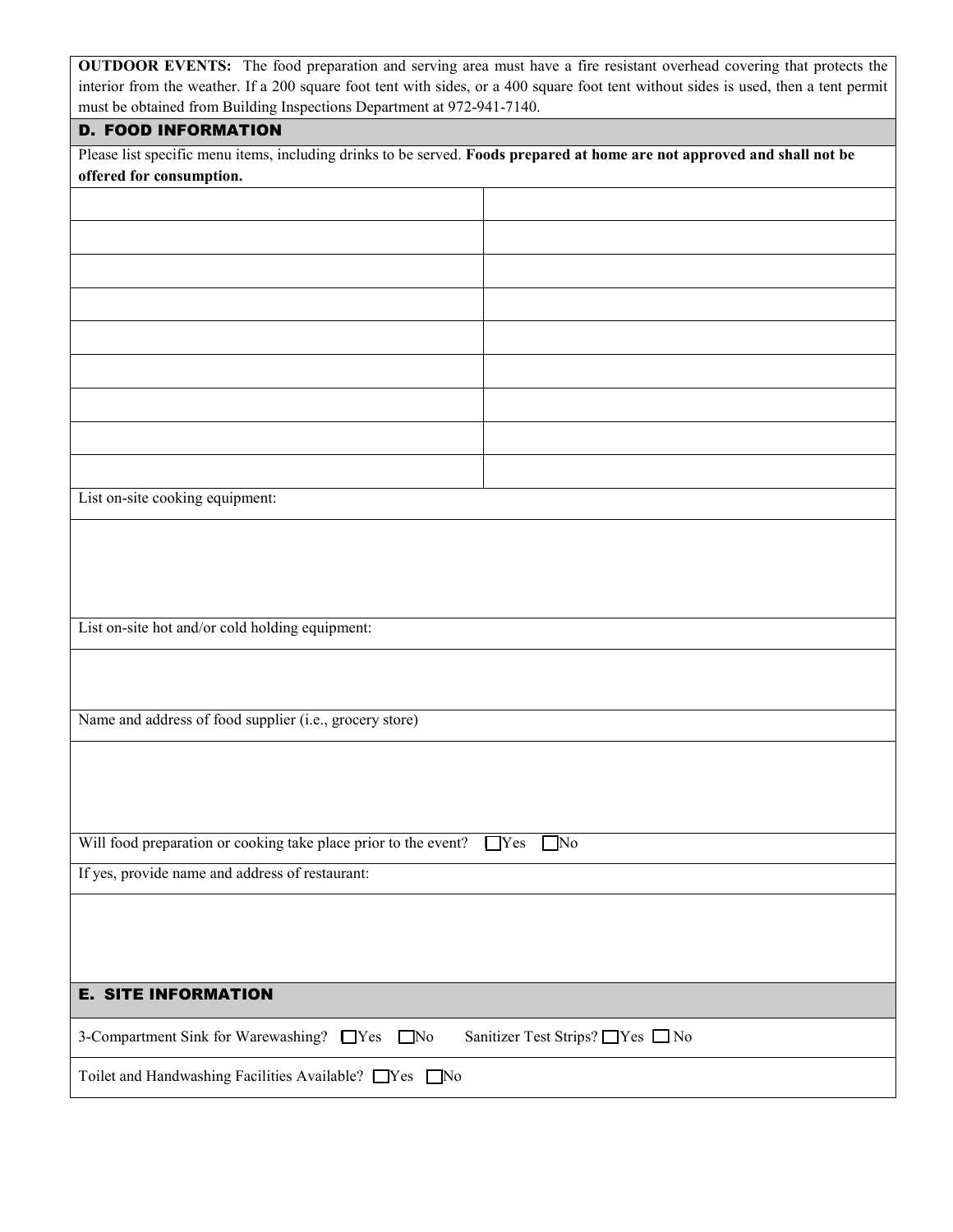| <b>OUTDOOR EVENTS:</b> The food preparation and serving area must have a fire resistant overhead covering that protects the          |
|--------------------------------------------------------------------------------------------------------------------------------------|
| interior from the weather. If a 200 square foot tent with sides, or a 400 square foot tent without sides is used, then a tent permit |
| must be obtained from Building Inspections Department at 972-941-7140.                                                               |

## D. FOOD INFORMATION

Please list specific menu items, including drinks to be served. **Foods prepared at home are not approved and shall not be offered for consumption.**

| List on-site cooking equipment:                                                  |  |  |  |  |  |
|----------------------------------------------------------------------------------|--|--|--|--|--|
|                                                                                  |  |  |  |  |  |
|                                                                                  |  |  |  |  |  |
|                                                                                  |  |  |  |  |  |
| List on-site hot and/or cold holding equipment:                                  |  |  |  |  |  |
|                                                                                  |  |  |  |  |  |
|                                                                                  |  |  |  |  |  |
| Name and address of food supplier (i.e., grocery store)                          |  |  |  |  |  |
|                                                                                  |  |  |  |  |  |
|                                                                                  |  |  |  |  |  |
| Will food preparation or cooking take place prior to the event? TYes No          |  |  |  |  |  |
| If yes, provide name and address of restaurant:                                  |  |  |  |  |  |
|                                                                                  |  |  |  |  |  |
|                                                                                  |  |  |  |  |  |
|                                                                                  |  |  |  |  |  |
| <b>E. SITE INFORMATION</b>                                                       |  |  |  |  |  |
| 3-Compartment Sink for Warewashing? TYes No<br>Sanitizer Test Strips? ■ Yes ■ No |  |  |  |  |  |
| Toilet and Handwashing Facilities Available? TYes No                             |  |  |  |  |  |